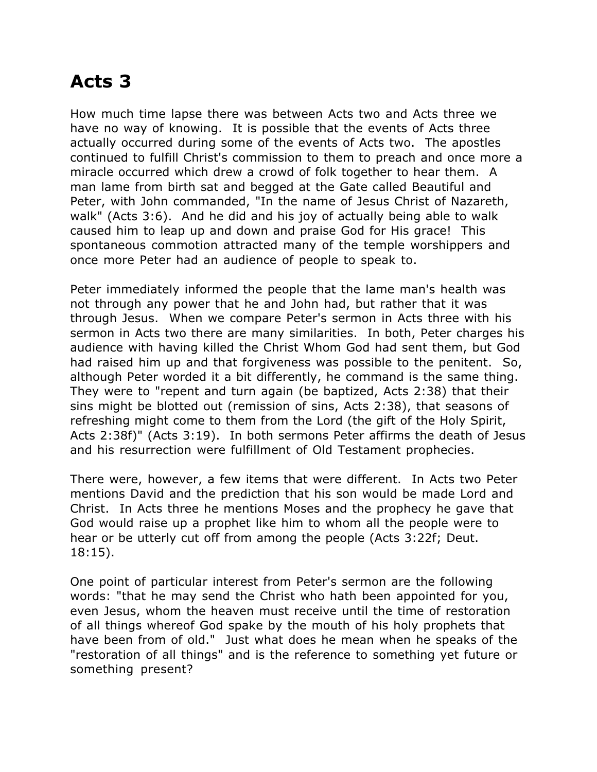## **Acts 3**

How much time lapse there was between Acts two and Acts three we have no way of knowing. It is possible that the events of Acts three actually occurred during some of the events of Acts two. The apostles continued to fulfill Christ's commission to them to preach and once more a miracle occurred which drew a crowd of folk together to hear them. A man lame from birth sat and begged at the Gate called Beautiful and Peter, with John commanded, "In the name of Jesus Christ of Nazareth, walk" (Acts 3:6). And he did and his joy of actually being able to walk caused him to leap up and down and praise God for His grace! This spontaneous commotion attracted many of the temple worshippers and once more Peter had an audience of people to speak to.

Peter immediately informed the people that the lame man's health was not through any power that he and John had, but rather that it was through Jesus. When we compare Peter's sermon in Acts three with his sermon in Acts two there are many similarities. In both, Peter charges his audience with having killed the Christ Whom God had sent them, but God had raised him up and that forgiveness was possible to the penitent. So, although Peter worded it a bit differently, he command is the same thing. They were to "repent and turn again (be baptized, Acts 2:38) that their sins might be blotted out (remission of sins, Acts 2:38), that seasons of refreshing might come to them from the Lord (the gift of the Holy Spirit, Acts 2:38f)" (Acts 3:19). In both sermons Peter affirms the death of Jesus and his resurrection were fulfillment of Old Testament prophecies.

There were, however, a few items that were different. In Acts two Peter mentions David and the prediction that his son would be made Lord and Christ. In Acts three he mentions Moses and the prophecy he gave that God would raise up a prophet like him to whom all the people were to hear or be utterly cut off from among the people (Acts 3:22f; Deut. 18:15).

One point of particular interest from Peter's sermon are the following words: "that he may send the Christ who hath been appointed for you, even Jesus, whom the heaven must receive until the time of restoration of all things whereof God spake by the mouth of his holy prophets that have been from of old." Just what does he mean when he speaks of the "restoration of all things" and is the reference to something yet future or something present?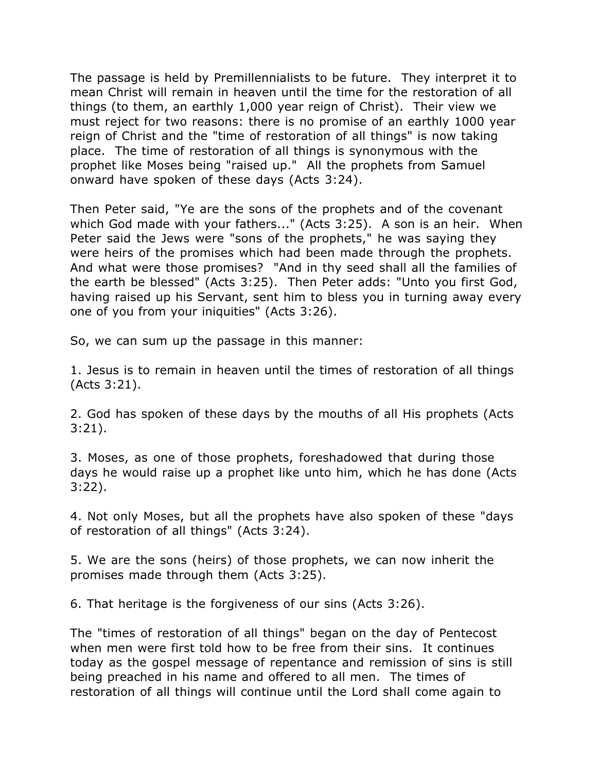The passage is held by Premillennialists to be future. They interpret it to mean Christ will remain in heaven until the time for the restoration of all things (to them, an earthly 1,000 year reign of Christ). Their view we must reject for two reasons: there is no promise of an earthly 1000 year reign of Christ and the "time of restoration of all things" is now taking place. The time of restoration of all things is synonymous with the prophet like Moses being "raised up." All the prophets from Samuel onward have spoken of these days (Acts 3:24).

Then Peter said, "Ye are the sons of the prophets and of the covenant which God made with your fathers..." (Acts 3:25). A son is an heir. When Peter said the Jews were "sons of the prophets," he was saying they were heirs of the promises which had been made through the prophets. And what were those promises? "And in thy seed shall all the families of the earth be blessed" (Acts 3:25). Then Peter adds: "Unto you first God, having raised up his Servant, sent him to bless you in turning away every one of you from your iniquities" (Acts 3:26).

So, we can sum up the passage in this manner:

1. Jesus is to remain in heaven until the times of restoration of all things (Acts 3:21).

2. God has spoken of these days by the mouths of all His prophets (Acts 3:21).

3. Moses, as one of those prophets, foreshadowed that during those days he would raise up a prophet like unto him, which he has done (Acts 3:22).

4. Not only Moses, but all the prophets have also spoken of these "days of restoration of all things" (Acts 3:24).

5. We are the sons (heirs) of those prophets, we can now inherit the promises made through them (Acts 3:25).

6. That heritage is the forgiveness of our sins (Acts 3:26).

The "times of restoration of all things" began on the day of Pentecost when men were first told how to be free from their sins. It continues today as the gospel message of repentance and remission of sins is still being preached in his name and offered to all men. The times of restoration of all things will continue until the Lord shall come again to